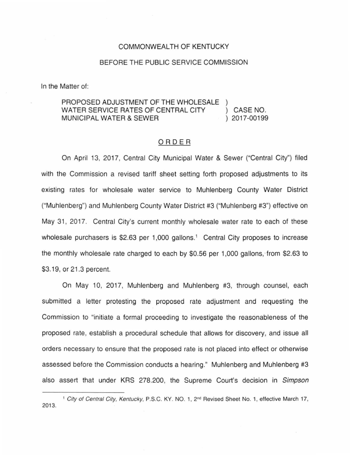## COMMONWEALTH OF KENTUCKY

## BEFORE THE PUBLIC SERVICE COMMISSION

In the Matter of:

## PROPOSED ADJUSTMENT OF THE WHOLESALE WATER SERVICE RATES OF CENTRAL CITY MUNICIPAL WATER & SEWER CASE NO. 2017-00199

## ORDER

On April 13, 2017, Central City Municipal Water & Sewer ("Central City") filed with the Commission a revised tariff sheet setting forth proposed adjustments to its existing rates for wholesale water service to Muhlenberg County Water District ("Muhlenberg") and Muhlenberg County Water District #3 ("Muhlenberg #3") effective on May 31, 2017. Central City's current monthly wholesale water rate to each of these wholesale purchasers is \$2.63 per 1,000 gallons.<sup>1</sup> Central City proposes to increase the monthly wholesale rate charged to each by \$0.56 per 1,000 gallons, from \$2.63 to \$3.19, or 21 .3 percent.

On May 10, 2017, Muhlenberg and Muhlenberg #3, through counsel, each submitted a letter protesting the proposed rate adjustment and requesting the Commission to "initiate a formal proceeding to investigate the reasonableness of the proposed rate, establish a procedural schedule that allows for discovery, and issue all orders necessary to ensure that the proposed rate is not placed into effect or otherwise assessed before the Commission conducts a hearing." Muhlenberg and Muhlenberg #3 also assert that under KRS 278.200, the Supreme Court's decision in Simpson

<sup>&</sup>lt;sup>1</sup> City of Central City, Kentucky, P.S.C. KY. NO. 1, 2<sup>nd</sup> Revised Sheet No. 1, effective March 17, 2013.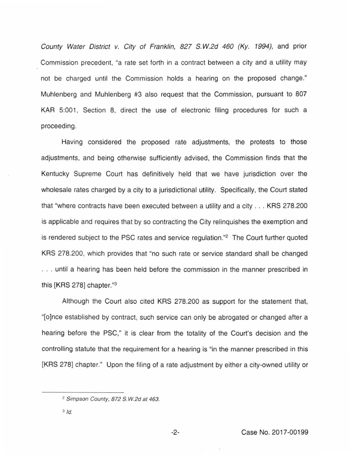County Water District v. City of Franklin, 827 S. W.2d 460 (Ky. 1994), and prior Commission precedent, "a rate set forth in a contract between a city and a utility may not be charged until the Commission holds a hearing on the proposed change." Muhlenberg and Muhlenberg #3 also request that the Commission, pursuant to 807 KAR 5:001, Section 8, direct the use of electronic filing procedures for such a proceeding.

Having considered the proposed rate adjustments, the protests to those adjustments, and being otherwise sufficiently advised, the Commission finds that the Kentucky Supreme Court has definitively held that we have jurisdiction over the wholesale rates charged by a city to a jurisdictional utility. Specifically, the Court stated that "where contracts have been executed between a utility and a city ... KRS 278.200 is applicable and requires that by so contracting the City relinquishes the exemption and is rendered subject to the PSC rates and service regulation."2 The Court further quoted KRS 278.200, which provides that "no such rate or service standard shall be changed ... until a hearing has been held before the commission in the manner prescribed in this [KRS 278] chapter."3

Although the Court also cited KRS 278.200 as support for the statement that, "[o]nce established by contract, such service can only be abrogated or changed after a hearing before the PSC," it is clear from the totality of the Court's decision and the controlling statute that the requirement for a hearing is "in the manner prescribed in this [KRS 278] chapter." Upon the filing of a rate adjustment by either a city-owned utility or

<sup>&</sup>lt;sup>2</sup> Simpson County, 872 S.W.2d at 463.

<sup>3</sup> */d.*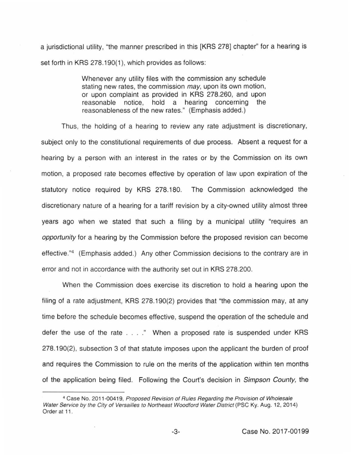a jurisdictional utility, "the manner prescribed in this [KRS 278] chapter'' for a hearing is set forth in KRS 278.190(1), which provides as follows:

> Whenever any utility files with the commission any schedule stating new rates, the commission *may*, upon its own motion, or upon complaint as provided in KRS 278.260, and upon reasonable notice, hold a hearing concerning the reasonableness of the new rates." (Emphasis added.)

Thus, the holding of a hearing to review any rate adjustment is discretionary, subject only to the constitutional requirements of due process. Absent a request for a hearing by a person with an interest in the rates or by the Commission on its own motion, a proposed rate becomes effective by operation of law upon expiration of the statutory notice required by KRS 278.180. The Commission acknowledged the discretionary nature of a hearing for a tariff revision by a city-owned utility almost three years ago when we stated that such a filing by a municipal utility "requires an opportunity for a hearing by the Commission before the proposed revision can become effective."<sup>4</sup> (Emphasis added.) Any other Commission decisions to the contrary are in error and not in accordance with the authority set out in KRS 278.200.

When the Commission does exercise its discretion to hold a hearing upon the filing of a rate adjustment, KRS 278.190(2) provides that "the commission may, at any time before the schedule becomes effective, suspend the operation of the schedule and defer the use of the rate . . . ." When a proposed rate is suspended under KRS 278.190(2), subsection 3 of that statute imposes upon the applicant the burden of proof and requires the Commission to rule on the merits of the application within ten months of the application being filed. Following the Court's decision in Simpson County, the

<sup>4</sup>Case No. 2011-00419, Proposed Revision of Rules Regarding the Provision of Wholesale Water Service by the City of Versailles to Northeast Woodford Water District (PSC Ky. Aug. 12, 2014) Order at 11.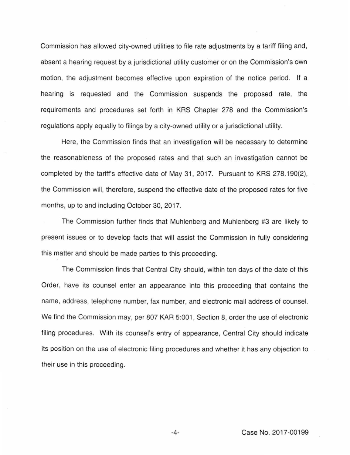Commission has allowed city-owned utilities to file rate adjustments by a tariff filing and, absent a hearing request by a jurisdictional utility customer or on the Commission's own motion, the adjustment becomes effective upon expiration of the notice period. If a hearing is requested and the Commission suspends the proposed rate, the requirements and procedures set forth in KRS Chapter 278 and the Commission's regulations apply equally to filings by a city-owned utility or a jurisdictional utility.

Here, the Commission finds that an investigation will be necessary to determine the reasonableness of the proposed rates and that such an investigation cannot be completed by the tariff's effective date of May 31, 2017. Pursuant to KRS 278.190(2), the Commission will, therefore, suspend the effective date of the proposed rates for five months, up to and including October 30, 2017.

The Commission further finds that Muhlenberg and Muhlenberg #3 are likely to present issues or to develop facts that will assist the Commission in fully considering this matter and should be made parties to this proceeding.

The Commission finds that Central City should, within ten days of the date of this Order, have its counsel enter an appearance into this proceeding that contains the name, address, telephone number, fax number, and electronic mail address of counsel. We find the Commission may, per 807 KAR 5:001, Section 8, order the use of electronic filing procedures. With its counsel's entry of appearance, Central City should indicate its position on the use of electronic filing procedures and whether it has any objection to their use in this proceeding.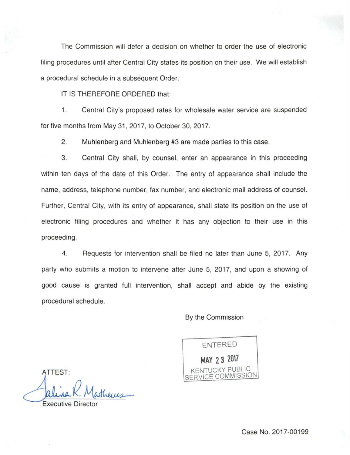The Commission will defer a decision on whether to order the use of electronic filing procedures until after Central City states its position on their use. We will establish a procedural schedule in a subsequent Order.

IT IS THEREFORE ORDERED that:

1. Central City's proposed rates for wholesale water service are suspended for five months from May 31, 2017, to October 30, 2017.

2. Muhlenberg and Muhlenberg #3 are made parties to this case.

3. Central City shall, by counsel, enter an appearance in this proceeding within ten days of the date of this Order. The entry of appearance shall include the name, address, telephone number, fax number, and electronic mail address of counsel. Further, Central City, with its entry of appearance, shall state its position on the use of electronic filing procedures and whether it has any objection to their use in this proceeding.

4. Requests for intervention shall be filed no later than June 5, 2017. Any party who submits a motion to intervene after June 5, 2017, and upon a showing of good cause is granted full intervention, shall accept and abide by the existing procedural schedule.

By the Commission

ENTERED **MAY 2 3 20\7**  KENTUCKY PUBLIC SERVICE COMMISSION

ATTEST:

Faline R. Matheus